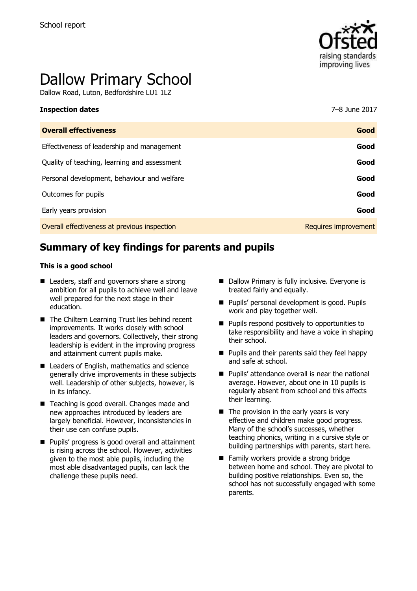

# Dallow Primary School

Dallow Road, Luton, Bedfordshire LU1 1LZ

| <b>Overall effectiveness</b>                 | Good                 |
|----------------------------------------------|----------------------|
| Effectiveness of leadership and management   | Good                 |
| Quality of teaching, learning and assessment | Good                 |
| Personal development, behaviour and welfare  | Good                 |
| Outcomes for pupils                          | Good                 |
| Early years provision                        | Good                 |
| Overall effectiveness at previous inspection | Requires improvement |

**Inspection dates** 7–8 June 2017

# **Summary of key findings for parents and pupils**

#### **This is a good school**

- Leaders, staff and governors share a strong ambition for all pupils to achieve well and leave well prepared for the next stage in their education.
- The Chiltern Learning Trust lies behind recent improvements. It works closely with school leaders and governors. Collectively, their strong leadership is evident in the improving progress and attainment current pupils make.
- Leaders of English, mathematics and science generally drive improvements in these subjects well. Leadership of other subjects, however, is in its infancy.
- Teaching is good overall. Changes made and new approaches introduced by leaders are largely beneficial. However, inconsistencies in their use can confuse pupils.
- **Pupils' progress is good overall and attainment** is rising across the school. However, activities given to the most able pupils, including the most able disadvantaged pupils, can lack the challenge these pupils need.
- Dallow Primary is fully inclusive. Everyone is treated fairly and equally.
- **Pupils' personal development is good. Pupils** work and play together well.
- **Pupils respond positively to opportunities to** take responsibility and have a voice in shaping their school.
- **Pupils and their parents said they feel happy** and safe at school.
- Pupils' attendance overall is near the national average. However, about one in 10 pupils is regularly absent from school and this affects their learning.
- $\blacksquare$  The provision in the early years is very effective and children make good progress. Many of the school's successes, whether teaching phonics, writing in a cursive style or building partnerships with parents, start here.
- Family workers provide a strong bridge between home and school. They are pivotal to building positive relationships. Even so, the school has not successfully engaged with some parents.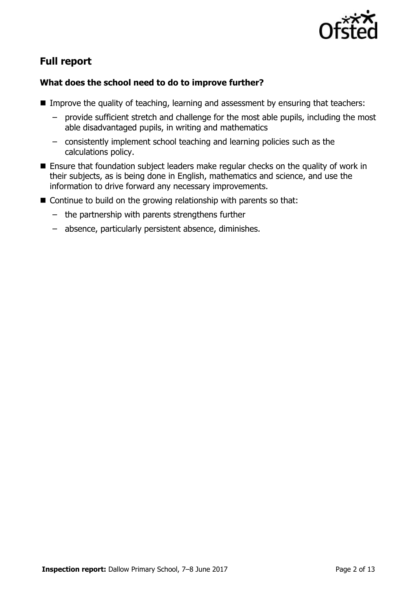

# **Full report**

## **What does the school need to do to improve further?**

- Improve the quality of teaching, learning and assessment by ensuring that teachers:
	- provide sufficient stretch and challenge for the most able pupils, including the most able disadvantaged pupils, in writing and mathematics
	- consistently implement school teaching and learning policies such as the calculations policy.
- Ensure that foundation subject leaders make regular checks on the quality of work in their subjects, as is being done in English, mathematics and science, and use the information to drive forward any necessary improvements.
- $\blacksquare$  Continue to build on the growing relationship with parents so that:
	- the partnership with parents strengthens further
	- absence, particularly persistent absence, diminishes.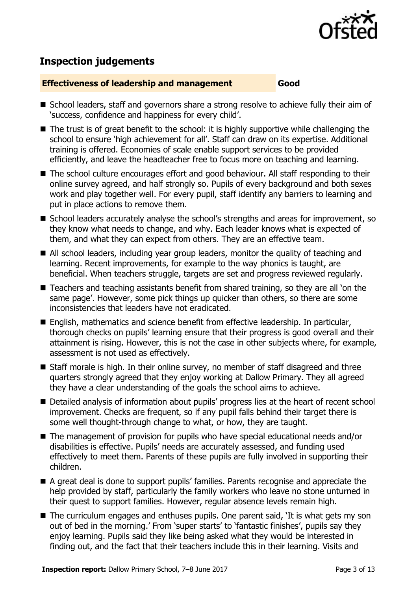

# **Inspection judgements**

#### **Effectiveness of leadership and management Good**

- School leaders, staff and governors share a strong resolve to achieve fully their aim of 'success, confidence and happiness for every child'.
- The trust is of great benefit to the school: it is highly supportive while challenging the school to ensure 'high achievement for all'. Staff can draw on its expertise. Additional training is offered. Economies of scale enable support services to be provided efficiently, and leave the headteacher free to focus more on teaching and learning.
- The school culture encourages effort and good behaviour. All staff responding to their online survey agreed, and half strongly so. Pupils of every background and both sexes work and play together well. For every pupil, staff identify any barriers to learning and put in place actions to remove them.
- School leaders accurately analyse the school's strengths and areas for improvement, so they know what needs to change, and why. Each leader knows what is expected of them, and what they can expect from others. They are an effective team.
- All school leaders, including year group leaders, monitor the quality of teaching and learning. Recent improvements, for example to the way phonics is taught, are beneficial. When teachers struggle, targets are set and progress reviewed regularly.
- Teachers and teaching assistants benefit from shared training, so they are all 'on the same page'. However, some pick things up quicker than others, so there are some inconsistencies that leaders have not eradicated.
- English, mathematics and science benefit from effective leadership. In particular, thorough checks on pupils' learning ensure that their progress is good overall and their attainment is rising. However, this is not the case in other subjects where, for example, assessment is not used as effectively.
- Staff morale is high. In their online survey, no member of staff disagreed and three quarters strongly agreed that they enjoy working at Dallow Primary. They all agreed they have a clear understanding of the goals the school aims to achieve.
- Detailed analysis of information about pupils' progress lies at the heart of recent school improvement. Checks are frequent, so if any pupil falls behind their target there is some well thought-through change to what, or how, they are taught.
- The management of provision for pupils who have special educational needs and/or disabilities is effective. Pupils' needs are accurately assessed, and funding used effectively to meet them. Parents of these pupils are fully involved in supporting their children.
- A great deal is done to support pupils' families. Parents recognise and appreciate the help provided by staff, particularly the family workers who leave no stone unturned in their quest to support families. However, regular absence levels remain high.
- The curriculum engages and enthuses pupils. One parent said, 'It is what gets my son out of bed in the morning.' From 'super starts' to 'fantastic finishes', pupils say they enjoy learning. Pupils said they like being asked what they would be interested in finding out, and the fact that their teachers include this in their learning. Visits and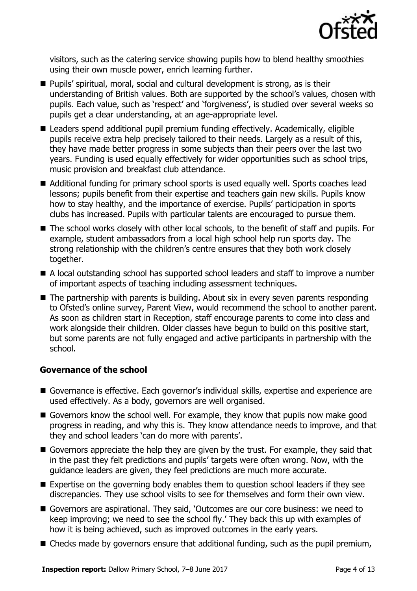

visitors, such as the catering service showing pupils how to blend healthy smoothies using their own muscle power, enrich learning further.

- **Pupils' spiritual, moral, social and cultural development is strong, as is their** understanding of British values. Both are supported by the school's values, chosen with pupils. Each value, such as 'respect' and 'forgiveness', is studied over several weeks so pupils get a clear understanding, at an age-appropriate level.
- Leaders spend additional pupil premium funding effectively. Academically, eligible pupils receive extra help precisely tailored to their needs. Largely as a result of this, they have made better progress in some subjects than their peers over the last two years. Funding is used equally effectively for wider opportunities such as school trips, music provision and breakfast club attendance.
- Additional funding for primary school sports is used equally well. Sports coaches lead lessons; pupils benefit from their expertise and teachers gain new skills. Pupils know how to stay healthy, and the importance of exercise. Pupils' participation in sports clubs has increased. Pupils with particular talents are encouraged to pursue them.
- The school works closely with other local schools, to the benefit of staff and pupils. For example, student ambassadors from a local high school help run sports day. The strong relationship with the children's centre ensures that they both work closely together.
- A local outstanding school has supported school leaders and staff to improve a number of important aspects of teaching including assessment techniques.
- The partnership with parents is building. About six in every seven parents responding to Ofsted's online survey, Parent View, would recommend the school to another parent. As soon as children start in Reception, staff encourage parents to come into class and work alongside their children. Older classes have begun to build on this positive start, but some parents are not fully engaged and active participants in partnership with the school.

## **Governance of the school**

- Governance is effective. Each governor's individual skills, expertise and experience are used effectively. As a body, governors are well organised.
- Governors know the school well. For example, they know that pupils now make good progress in reading, and why this is. They know attendance needs to improve, and that they and school leaders 'can do more with parents'.
- Governors appreciate the help they are given by the trust. For example, they said that in the past they felt predictions and pupils' targets were often wrong. Now, with the guidance leaders are given, they feel predictions are much more accurate.
- Expertise on the governing body enables them to question school leaders if they see discrepancies. They use school visits to see for themselves and form their own view.
- Governors are aspirational. They said, 'Outcomes are our core business: we need to keep improving; we need to see the school fly.' They back this up with examples of how it is being achieved, such as improved outcomes in the early years.
- Checks made by governors ensure that additional funding, such as the pupil premium,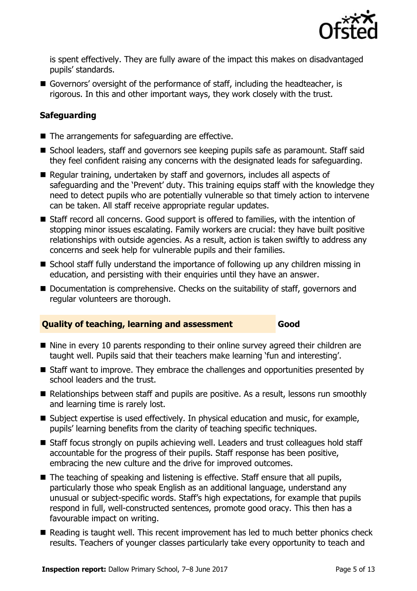

is spent effectively. They are fully aware of the impact this makes on disadvantaged pupils' standards.

Governors' oversight of the performance of staff, including the headteacher, is rigorous. In this and other important ways, they work closely with the trust.

## **Safeguarding**

- $\blacksquare$  The arrangements for safeguarding are effective.
- School leaders, staff and governors see keeping pupils safe as paramount. Staff said they feel confident raising any concerns with the designated leads for safeguarding.
- Regular training, undertaken by staff and governors, includes all aspects of safeguarding and the 'Prevent' duty. This training equips staff with the knowledge they need to detect pupils who are potentially vulnerable so that timely action to intervene can be taken. All staff receive appropriate regular updates.
- Staff record all concerns. Good support is offered to families, with the intention of stopping minor issues escalating. Family workers are crucial: they have built positive relationships with outside agencies. As a result, action is taken swiftly to address any concerns and seek help for vulnerable pupils and their families.
- School staff fully understand the importance of following up any children missing in education, and persisting with their enquiries until they have an answer.
- Documentation is comprehensive. Checks on the suitability of staff, governors and regular volunteers are thorough.

## **Quality of teaching, learning and assessment Good**

- Nine in every 10 parents responding to their online survey agreed their children are taught well. Pupils said that their teachers make learning 'fun and interesting'.
- Staff want to improve. They embrace the challenges and opportunities presented by school leaders and the trust.
- Relationships between staff and pupils are positive. As a result, lessons run smoothly and learning time is rarely lost.
- Subject expertise is used effectively. In physical education and music, for example, pupils' learning benefits from the clarity of teaching specific techniques.
- Staff focus strongly on pupils achieving well. Leaders and trust colleagues hold staff accountable for the progress of their pupils. Staff response has been positive, embracing the new culture and the drive for improved outcomes.
- The teaching of speaking and listening is effective. Staff ensure that all pupils, particularly those who speak English as an additional language, understand any unusual or subject-specific words. Staff's high expectations, for example that pupils respond in full, well-constructed sentences, promote good oracy. This then has a favourable impact on writing.
- Reading is taught well. This recent improvement has led to much better phonics check results. Teachers of younger classes particularly take every opportunity to teach and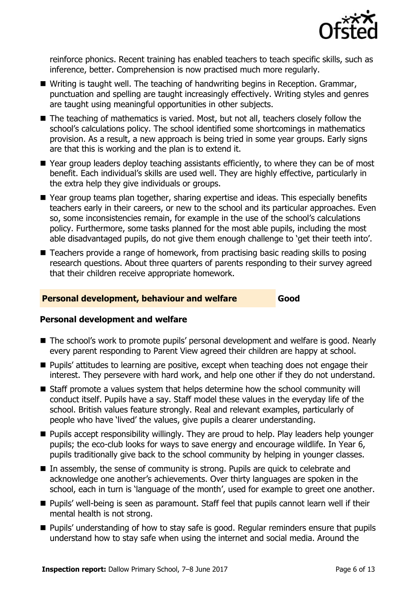

reinforce phonics. Recent training has enabled teachers to teach specific skills, such as inference, better. Comprehension is now practised much more regularly.

- Writing is taught well. The teaching of handwriting begins in Reception. Grammar, punctuation and spelling are taught increasingly effectively. Writing styles and genres are taught using meaningful opportunities in other subjects.
- The teaching of mathematics is varied. Most, but not all, teachers closely follow the school's calculations policy. The school identified some shortcomings in mathematics provision. As a result, a new approach is being tried in some year groups. Early signs are that this is working and the plan is to extend it.
- Year group leaders deploy teaching assistants efficiently, to where they can be of most benefit. Each individual's skills are used well. They are highly effective, particularly in the extra help they give individuals or groups.
- Year group teams plan together, sharing expertise and ideas. This especially benefits teachers early in their careers, or new to the school and its particular approaches. Even so, some inconsistencies remain, for example in the use of the school's calculations policy. Furthermore, some tasks planned for the most able pupils, including the most able disadvantaged pupils, do not give them enough challenge to 'get their teeth into'.
- Teachers provide a range of homework, from practising basic reading skills to posing research questions. About three quarters of parents responding to their survey agreed that their children receive appropriate homework.

### **Personal development, behaviour and welfare Good**

#### **Personal development and welfare**

- The school's work to promote pupils' personal development and welfare is good. Nearly every parent responding to Parent View agreed their children are happy at school.
- **Pupils' attitudes to learning are positive, except when teaching does not engage their** interest. They persevere with hard work, and help one other if they do not understand.
- Staff promote a values system that helps determine how the school community will conduct itself. Pupils have a say. Staff model these values in the everyday life of the school. British values feature strongly. Real and relevant examples, particularly of people who have 'lived' the values, give pupils a clearer understanding.
- **Pupils accept responsibility willingly. They are proud to help. Play leaders help younger** pupils; the eco-club looks for ways to save energy and encourage wildlife. In Year 6, pupils traditionally give back to the school community by helping in younger classes.
- In assembly, the sense of community is strong. Pupils are quick to celebrate and acknowledge one another's achievements. Over thirty languages are spoken in the school, each in turn is 'language of the month', used for example to greet one another.
- **Pupils' well-being is seen as paramount. Staff feel that pupils cannot learn well if their** mental health is not strong.
- **Pupils' understanding of how to stay safe is good. Regular reminders ensure that pupils** understand how to stay safe when using the internet and social media. Around the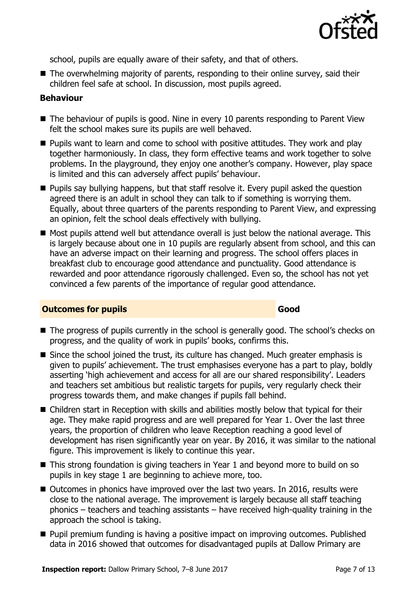

school, pupils are equally aware of their safety, and that of others.

■ The overwhelming majority of parents, responding to their online survey, said their children feel safe at school. In discussion, most pupils agreed.

#### **Behaviour**

- The behaviour of pupils is good. Nine in every 10 parents responding to Parent View felt the school makes sure its pupils are well behaved.
- **Pupils want to learn and come to school with positive attitudes. They work and play** together harmoniously. In class, they form effective teams and work together to solve problems. In the playground, they enjoy one another's company. However, play space is limited and this can adversely affect pupils' behaviour.
- **Pupils say bullying happens, but that staff resolve it. Every pupil asked the question** agreed there is an adult in school they can talk to if something is worrying them. Equally, about three quarters of the parents responding to Parent View, and expressing an opinion, felt the school deals effectively with bullying.
- Most pupils attend well but attendance overall is just below the national average. This is largely because about one in 10 pupils are regularly absent from school, and this can have an adverse impact on their learning and progress. The school offers places in breakfast club to encourage good attendance and punctuality. Good attendance is rewarded and poor attendance rigorously challenged. Even so, the school has not yet convinced a few parents of the importance of regular good attendance.

#### **Outcomes for pupils Good**

- The progress of pupils currently in the school is generally good. The school's checks on progress, and the quality of work in pupils' books, confirms this.
- Since the school joined the trust, its culture has changed. Much greater emphasis is given to pupils' achievement. The trust emphasises everyone has a part to play, boldly asserting 'high achievement and access for all are our shared responsibility'. Leaders and teachers set ambitious but realistic targets for pupils, very regularly check their progress towards them, and make changes if pupils fall behind.
- Children start in Reception with skills and abilities mostly below that typical for their age. They make rapid progress and are well prepared for Year 1. Over the last three years, the proportion of children who leave Reception reaching a good level of development has risen significantly year on year. By 2016, it was similar to the national figure. This improvement is likely to continue this year.
- This strong foundation is giving teachers in Year 1 and beyond more to build on so pupils in key stage 1 are beginning to achieve more, too.
- Outcomes in phonics have improved over the last two years. In 2016, results were close to the national average. The improvement is largely because all staff teaching phonics – teachers and teaching assistants – have received high-quality training in the approach the school is taking.
- **Pupil premium funding is having a positive impact on improving outcomes. Published** data in 2016 showed that outcomes for disadvantaged pupils at Dallow Primary are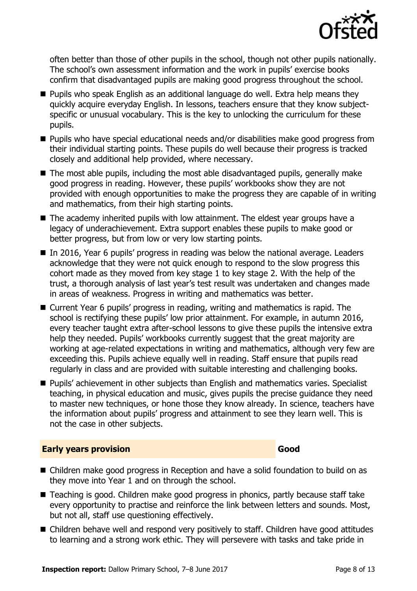

often better than those of other pupils in the school, though not other pupils nationally. The school's own assessment information and the work in pupils' exercise books confirm that disadvantaged pupils are making good progress throughout the school.

- **Pupils who speak English as an additional language do well. Extra help means they** quickly acquire everyday English. In lessons, teachers ensure that they know subjectspecific or unusual vocabulary. This is the key to unlocking the curriculum for these pupils.
- Pupils who have special educational needs and/or disabilities make good progress from their individual starting points. These pupils do well because their progress is tracked closely and additional help provided, where necessary.
- The most able pupils, including the most able disadvantaged pupils, generally make good progress in reading. However, these pupils' workbooks show they are not provided with enough opportunities to make the progress they are capable of in writing and mathematics, from their high starting points.
- The academy inherited pupils with low attainment. The eldest year groups have a legacy of underachievement. Extra support enables these pupils to make good or better progress, but from low or very low starting points.
- In 2016, Year 6 pupils' progress in reading was below the national average. Leaders acknowledge that they were not quick enough to respond to the slow progress this cohort made as they moved from key stage 1 to key stage 2. With the help of the trust, a thorough analysis of last year's test result was undertaken and changes made in areas of weakness. Progress in writing and mathematics was better.
- Current Year 6 pupils' progress in reading, writing and mathematics is rapid. The school is rectifying these pupils' low prior attainment. For example, in autumn 2016, every teacher taught extra after-school lessons to give these pupils the intensive extra help they needed. Pupils' workbooks currently suggest that the great majority are working at age-related expectations in writing and mathematics, although very few are exceeding this. Pupils achieve equally well in reading. Staff ensure that pupils read regularly in class and are provided with suitable interesting and challenging books.
- **Pupils'** achievement in other subjects than English and mathematics varies. Specialist teaching, in physical education and music, gives pupils the precise guidance they need to master new techniques, or hone those they know already. In science, teachers have the information about pupils' progress and attainment to see they learn well. This is not the case in other subjects.

#### **Early years provision Good Good**

- Children make good progress in Reception and have a solid foundation to build on as they move into Year 1 and on through the school.
- Teaching is good. Children make good progress in phonics, partly because staff take every opportunity to practise and reinforce the link between letters and sounds. Most, but not all, staff use questioning effectively.
- Children behave well and respond very positively to staff. Children have good attitudes to learning and a strong work ethic. They will persevere with tasks and take pride in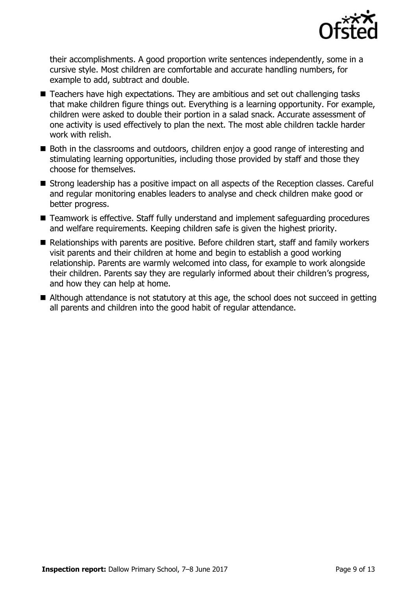

their accomplishments. A good proportion write sentences independently, some in a cursive style. Most children are comfortable and accurate handling numbers, for example to add, subtract and double.

- Teachers have high expectations. They are ambitious and set out challenging tasks that make children figure things out. Everything is a learning opportunity. For example, children were asked to double their portion in a salad snack. Accurate assessment of one activity is used effectively to plan the next. The most able children tackle harder work with relish.
- Both in the classrooms and outdoors, children enjoy a good range of interesting and stimulating learning opportunities, including those provided by staff and those they choose for themselves.
- Strong leadership has a positive impact on all aspects of the Reception classes. Careful and regular monitoring enables leaders to analyse and check children make good or better progress.
- Teamwork is effective. Staff fully understand and implement safeguarding procedures and welfare requirements. Keeping children safe is given the highest priority.
- Relationships with parents are positive. Before children start, staff and family workers visit parents and their children at home and begin to establish a good working relationship. Parents are warmly welcomed into class, for example to work alongside their children. Parents say they are regularly informed about their children's progress, and how they can help at home.
- Although attendance is not statutory at this age, the school does not succeed in getting all parents and children into the good habit of regular attendance.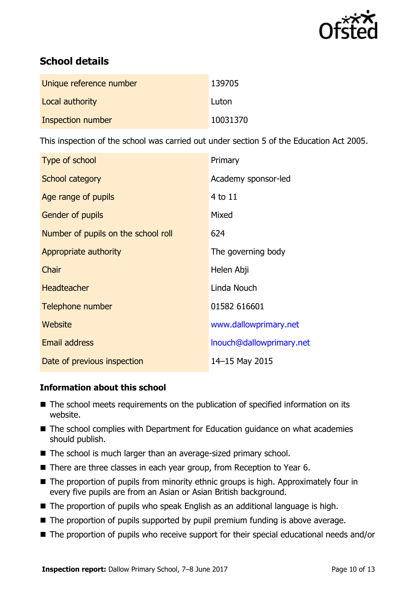

# **School details**

| Unique reference number | 139705   |
|-------------------------|----------|
| Local authority         | Luton    |
| Inspection number       | 10031370 |

This inspection of the school was carried out under section 5 of the Education Act 2005.

| Type of school                      | Primary                  |
|-------------------------------------|--------------------------|
| School category                     | Academy sponsor-led      |
| Age range of pupils                 | 4 to 11                  |
| Gender of pupils                    | Mixed                    |
| Number of pupils on the school roll | 624                      |
| Appropriate authority               | The governing body       |
| Chair                               | Helen Abji               |
| <b>Headteacher</b>                  | Linda Nouch              |
| Telephone number                    | 01582 616601             |
| <b>Website</b>                      | www.dallowprimary.net    |
| <b>Email address</b>                | Inouch@dallowprimary.net |
| Date of previous inspection         | 14-15 May 2015           |

## **Information about this school**

- The school meets requirements on the publication of specified information on its website.
- The school complies with Department for Education guidance on what academies should publish.
- The school is much larger than an average-sized primary school.
- There are three classes in each year group, from Reception to Year 6.
- The proportion of pupils from minority ethnic groups is high. Approximately four in every five pupils are from an Asian or Asian British background.
- The proportion of pupils who speak English as an additional language is high.
- The proportion of pupils supported by pupil premium funding is above average.
- The proportion of pupils who receive support for their special educational needs and/or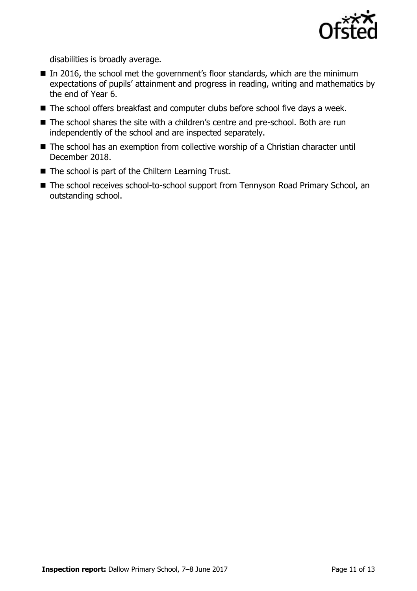

disabilities is broadly average.

- $\blacksquare$  In 2016, the school met the government's floor standards, which are the minimum expectations of pupils' attainment and progress in reading, writing and mathematics by the end of Year 6.
- The school offers breakfast and computer clubs before school five days a week.
- The school shares the site with a children's centre and pre-school. Both are run independently of the school and are inspected separately.
- The school has an exemption from collective worship of a Christian character until December 2018.
- The school is part of the Chiltern Learning Trust.
- The school receives school-to-school support from Tennyson Road Primary School, an outstanding school.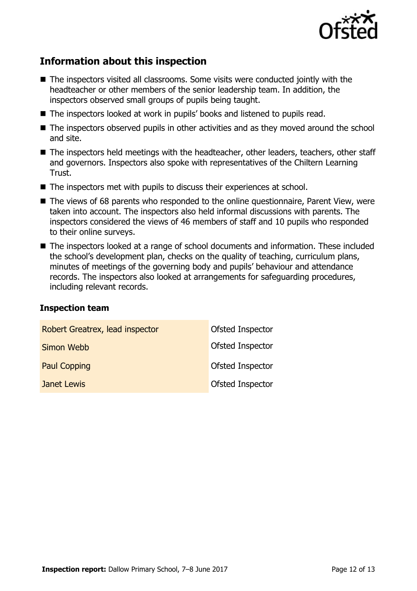

# **Information about this inspection**

- The inspectors visited all classrooms. Some visits were conducted jointly with the headteacher or other members of the senior leadership team. In addition, the inspectors observed small groups of pupils being taught.
- The inspectors looked at work in pupils' books and listened to pupils read.
- The inspectors observed pupils in other activities and as they moved around the school and site.
- The inspectors held meetings with the headteacher, other leaders, teachers, other staff and governors. Inspectors also spoke with representatives of the Chiltern Learning Trust.
- The inspectors met with pupils to discuss their experiences at school.
- The views of 68 parents who responded to the online questionnaire, Parent View, were taken into account. The inspectors also held informal discussions with parents. The inspectors considered the views of 46 members of staff and 10 pupils who responded to their online surveys.
- The inspectors looked at a range of school documents and information. These included the school's development plan, checks on the quality of teaching, curriculum plans, minutes of meetings of the governing body and pupils' behaviour and attendance records. The inspectors also looked at arrangements for safeguarding procedures, including relevant records.

#### **Inspection team**

| Robert Greatrex, lead inspector | Ofsted Inspector |
|---------------------------------|------------------|
| Simon Webb                      | Ofsted Inspector |
| <b>Paul Copping</b>             | Ofsted Inspector |
| <b>Janet Lewis</b>              | Ofsted Inspector |